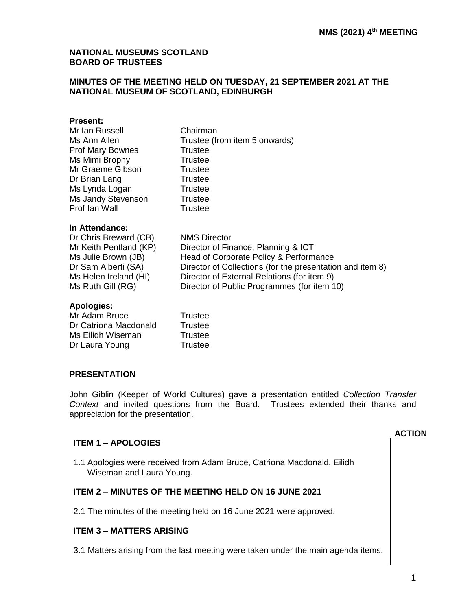#### **NATIONAL MUSEUMS SCOTLAND BOARD OF TRUSTEES**

#### **MINUTES OF THE MEETING HELD ON TUESDAY, 21 SEPTEMBER 2021 AT THE NATIONAL MUSEUM OF SCOTLAND, EDINBURGH**

#### **Present:**

| Mr Ian Russell          | Chairman                      |
|-------------------------|-------------------------------|
| Ms Ann Allen            | Trustee (from item 5 onwards) |
| <b>Prof Mary Bownes</b> | <b>Trustee</b>                |
| Ms Mimi Brophy          | Trustee                       |
| Mr Graeme Gibson        | Trustee                       |
| Dr Brian Lang           | <b>Trustee</b>                |
| Ms Lynda Logan          | <b>Trustee</b>                |
| Ms Jandy Stevenson      | Trustee                       |
| Prof Ian Wall           | <b>Trustee</b>                |
|                         |                               |

#### **In Attendance:**

| Dr Chris Breward (CB)  | <b>NMS Director</b>                                       |
|------------------------|-----------------------------------------------------------|
| Mr Keith Pentland (KP) | Director of Finance, Planning & ICT                       |
| Ms Julie Brown (JB)    | Head of Corporate Policy & Performance                    |
| Dr Sam Alberti (SA)    | Director of Collections (for the presentation and item 8) |
| Ms Helen Ireland (HI)  | Director of External Relations (for item 9)               |
| Ms Ruth Gill (RG)      | Director of Public Programmes (for item 10)               |
|                        |                                                           |

#### **Apologies:**

| Mr Adam Bruce         | Trustee |
|-----------------------|---------|
| Dr Catriona Macdonald | Trustee |
| Ms Eilidh Wiseman     | Trustee |
| Dr Laura Young        | Trustee |

#### **PRESENTATION**

John Giblin (Keeper of World Cultures) gave a presentation entitled *Collection Transfer Context* and invited questions from the Board. Trustees extended their thanks and appreciation for the presentation.

#### **ITEM 1 – APOLOGIES**

#### **ACTION**

1.1 Apologies were received from Adam Bruce, Catriona Macdonald, Eilidh Wiseman and Laura Young.

### **ITEM 2 – MINUTES OF THE MEETING HELD ON 16 JUNE 2021**

2.1 The minutes of the meeting held on 16 June 2021 were approved.

### **ITEM 3 – MATTERS ARISING**

3.1 Matters arising from the last meeting were taken under the main agenda items.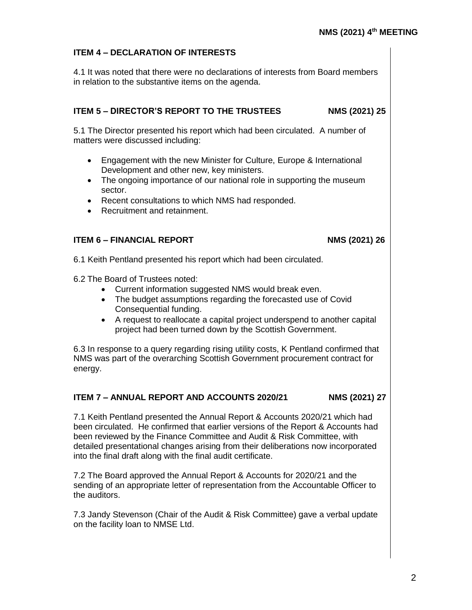# **ITEM 4 – DECLARATION OF INTERESTS**

4.1 It was noted that there were no declarations of interests from Board members in relation to the substantive items on the agenda.

# **ITEM 5 – DIRECTOR'S REPORT TO THE TRUSTEES NMS (2021) 25**

5.1 The Director presented his report which had been circulated. A number of matters were discussed including:

- Engagement with the new Minister for Culture, Europe & International Development and other new, key ministers.
- The ongoing importance of our national role in supporting the museum sector.
- Recent consultations to which NMS had responded.
- Recruitment and retainment.

# **ITEM 6 – FINANCIAL REPORT NMS (2021) 26**

6.1 Keith Pentland presented his report which had been circulated.

6.2 The Board of Trustees noted:

- Current information suggested NMS would break even.
- The budget assumptions regarding the forecasted use of Covid Consequential funding.
- A request to reallocate a capital project underspend to another capital project had been turned down by the Scottish Government.

6.3 In response to a query regarding rising utility costs, K Pentland confirmed that NMS was part of the overarching Scottish Government procurement contract for energy.

# **ITEM 7 – ANNUAL REPORT AND ACCOUNTS 2020/21 NMS (2021) 27**

7.1 Keith Pentland presented the Annual Report & Accounts 2020/21 which had been circulated. He confirmed that earlier versions of the Report & Accounts had been reviewed by the Finance Committee and Audit & Risk Committee, with detailed presentational changes arising from their deliberations now incorporated into the final draft along with the final audit certificate.

7.2 The Board approved the Annual Report & Accounts for 2020/21 and the sending of an appropriate letter of representation from the Accountable Officer to the auditors.

7.3 Jandy Stevenson (Chair of the Audit & Risk Committee) gave a verbal update on the facility loan to NMSE Ltd.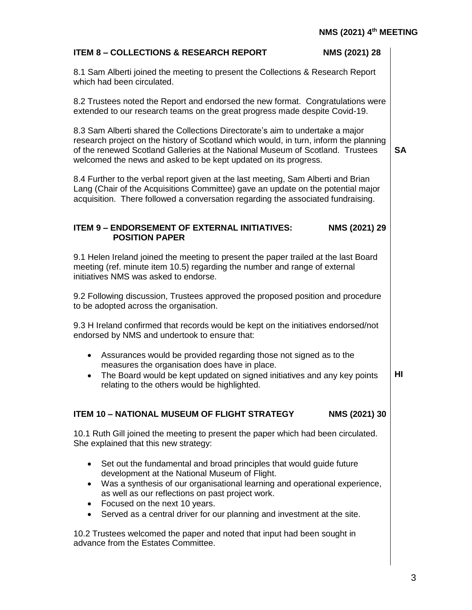| <b>ITEM 8 - COLLECTIONS &amp; RESEARCH REPORT</b><br>NMS (2021) 28                                                                                                                                                                                                                                                          |           |
|-----------------------------------------------------------------------------------------------------------------------------------------------------------------------------------------------------------------------------------------------------------------------------------------------------------------------------|-----------|
| 8.1 Sam Alberti joined the meeting to present the Collections & Research Report<br>which had been circulated.                                                                                                                                                                                                               |           |
| 8.2 Trustees noted the Report and endorsed the new format. Congratulations were<br>extended to our research teams on the great progress made despite Covid-19.                                                                                                                                                              |           |
| 8.3 Sam Alberti shared the Collections Directorate's aim to undertake a major<br>research project on the history of Scotland which would, in turn, inform the planning<br>of the renewed Scotland Galleries at the National Museum of Scotland. Trustees<br>welcomed the news and asked to be kept updated on its progress. | <b>SA</b> |
| 8.4 Further to the verbal report given at the last meeting, Sam Alberti and Brian<br>Lang (Chair of the Acquisitions Committee) gave an update on the potential major<br>acquisition. There followed a conversation regarding the associated fundraising.                                                                   |           |
| NMS (2021) 29<br><b>ITEM 9 - ENDORSEMENT OF EXTERNAL INITIATIVES:</b><br><b>POSITION PAPER</b>                                                                                                                                                                                                                              |           |
| 9.1 Helen Ireland joined the meeting to present the paper trailed at the last Board<br>meeting (ref. minute item 10.5) regarding the number and range of external<br>initiatives NMS was asked to endorse.                                                                                                                  |           |
| 9.2 Following discussion, Trustees approved the proposed position and procedure<br>to be adopted across the organisation.                                                                                                                                                                                                   |           |
| 9.3 H Ireland confirmed that records would be kept on the initiatives endorsed/not<br>endorsed by NMS and undertook to ensure that:                                                                                                                                                                                         |           |
| Assurances would be provided regarding those not signed as to the<br>٠<br>measures the organisation does have in place.<br>The Board would be kept updated on signed initiatives and any key points<br>$\bullet$<br>relating to the others would be highlighted.                                                            | HI        |
| <b>ITEM 10 - NATIONAL MUSEUM OF FLIGHT STRATEGY</b><br>NMS (2021) 30                                                                                                                                                                                                                                                        |           |
| 10.1 Ruth Gill joined the meeting to present the paper which had been circulated.<br>She explained that this new strategy:                                                                                                                                                                                                  |           |
| Set out the fundamental and broad principles that would guide future<br>٠<br>development at the National Museum of Flight.<br>Was a synthesis of our organisational learning and operational experience,<br>$\bullet$<br>as well as our reflections on past project work.<br>Focused on the next 10 years.                  |           |
| Served as a central driver for our planning and investment at the site.<br>٠                                                                                                                                                                                                                                                |           |
| 10.2 Trustees welcomed the paper and noted that input had been sought in<br>advance from the Estates Committee.                                                                                                                                                                                                             |           |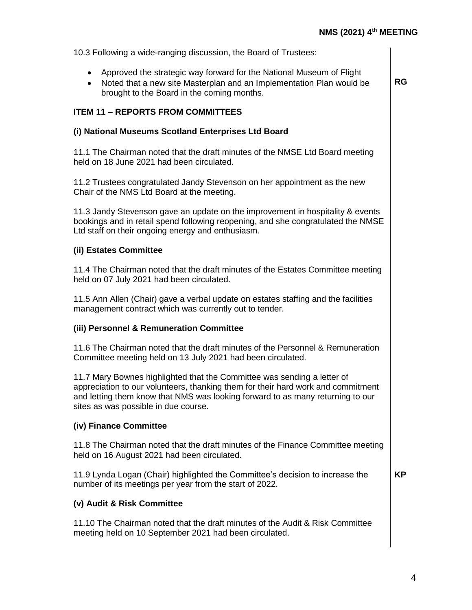**RG**

10.3 Following a wide-ranging discussion, the Board of Trustees:

- Approved the strategic way forward for the National Museum of Flight
- Noted that a new site Masterplan and an Implementation Plan would be brought to the Board in the coming months.

### **ITEM 11 – REPORTS FROM COMMITTEES**

### **(i) National Museums Scotland Enterprises Ltd Board**

11.1 The Chairman noted that the draft minutes of the NMSE Ltd Board meeting held on 18 June 2021 had been circulated.

11.2 Trustees congratulated Jandy Stevenson on her appointment as the new Chair of the NMS Ltd Board at the meeting.

11.3 Jandy Stevenson gave an update on the improvement in hospitality & events bookings and in retail spend following reopening, and she congratulated the NMSE Ltd staff on their ongoing energy and enthusiasm.

### **(ii) Estates Committee**

11.4 The Chairman noted that the draft minutes of the Estates Committee meeting held on 07 July 2021 had been circulated.

11.5 Ann Allen (Chair) gave a verbal update on estates staffing and the facilities management contract which was currently out to tender.

#### **(iii) Personnel & Remuneration Committee**

11.6 The Chairman noted that the draft minutes of the Personnel & Remuneration Committee meeting held on 13 July 2021 had been circulated.

11.7 Mary Bownes highlighted that the Committee was sending a letter of appreciation to our volunteers, thanking them for their hard work and commitment and letting them know that NMS was looking forward to as many returning to our sites as was possible in due course.

### **(iv) Finance Committee**

11.8 The Chairman noted that the draft minutes of the Finance Committee meeting held on 16 August 2021 had been circulated.

11.9 Lynda Logan (Chair) highlighted the Committee's decision to increase the number of its meetings per year from the start of 2022.

**KP**

#### **(v) Audit & Risk Committee**

11.10 The Chairman noted that the draft minutes of the Audit & Risk Committee meeting held on 10 September 2021 had been circulated.